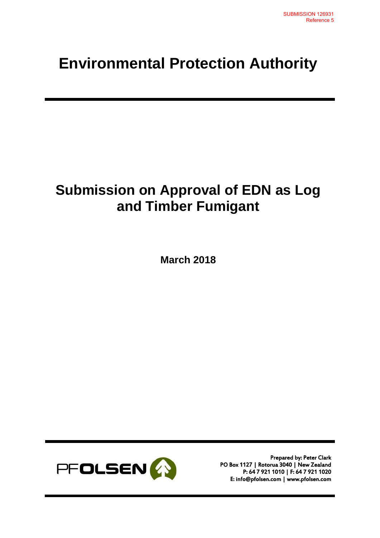## **Environmental Protection Authority**

## **Submission on Approval of EDN as Log and Timber Fumigant**

**March 2018**



Prepared by: Peter Clark PO Box 1127 | Rotorua 3040 | New Zealand P: 64 7 921 1010 | F: 64 7 921 1020 E: info@pfolsen.com | www.pfolsen.com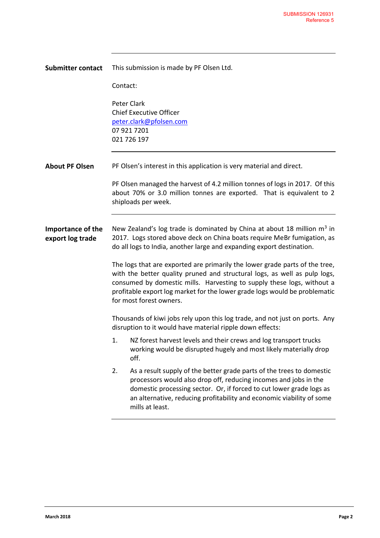| This submission is made by PF Olsen Ltd.                                                                                                                                                                                                                                                                                                    |
|---------------------------------------------------------------------------------------------------------------------------------------------------------------------------------------------------------------------------------------------------------------------------------------------------------------------------------------------|
| Contact:                                                                                                                                                                                                                                                                                                                                    |
| Peter Clark<br><b>Chief Executive Officer</b><br>peter.clark@pfolsen.com<br>07 921 7201<br>021 726 197                                                                                                                                                                                                                                      |
| PF Olsen's interest in this application is very material and direct.                                                                                                                                                                                                                                                                        |
| PF Olsen managed the harvest of 4.2 million tonnes of logs in 2017. Of this<br>about 70% or 3.0 million tonnes are exported. That is equivalent to 2<br>shiploads per week.                                                                                                                                                                 |
| New Zealand's log trade is dominated by China at about 18 million $m3$ in<br>2017. Logs stored above deck on China boats require MeBr fumigation, as<br>do all logs to India, another large and expanding export destination.                                                                                                               |
| The logs that are exported are primarily the lower grade parts of the tree,<br>with the better quality pruned and structural logs, as well as pulp logs,<br>consumed by domestic mills. Harvesting to supply these logs, without a<br>profitable export log market for the lower grade logs would be problematic<br>for most forest owners. |
| Thousands of kiwi jobs rely upon this log trade, and not just on ports. Any<br>disruption to it would have material ripple down effects:                                                                                                                                                                                                    |
| 1.<br>NZ forest harvest levels and their crews and log transport trucks<br>working would be disrupted hugely and most likely materially drop<br>off.                                                                                                                                                                                        |
| 2.<br>As a result supply of the better grade parts of the trees to domestic<br>processors would also drop off, reducing incomes and jobs in the<br>domestic processing sector. Or, if forced to cut lower grade logs as<br>an alternative, reducing profitability and economic viability of some<br>mills at least.                         |
|                                                                                                                                                                                                                                                                                                                                             |